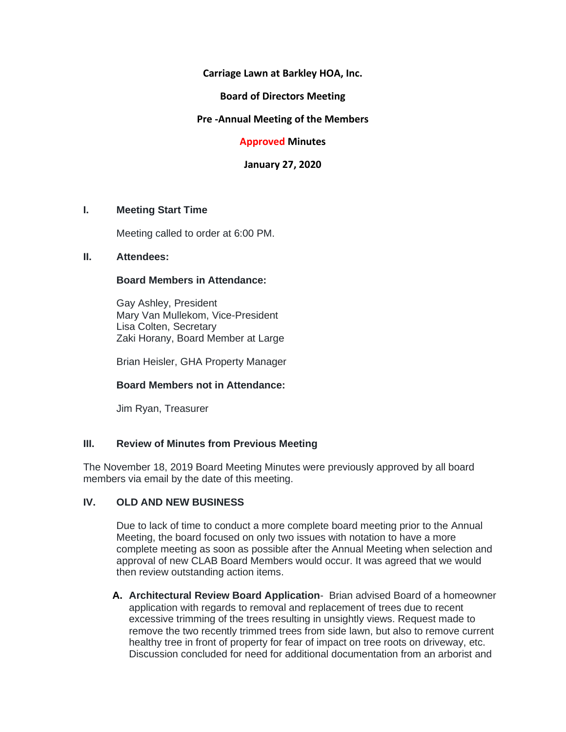**Carriage Lawn at Barkley HOA, Inc.**

**Board of Directors Meeting**

**Pre -Annual Meeting of the Members**

**Approved Minutes**

**January 27, 2020**

#### **I. Meeting Start Time**

Meeting called to order at 6:00 PM.

#### **II. Attendees:**

#### **Board Members in Attendance:**

Gay Ashley, President Mary Van Mullekom, Vice-President Lisa Colten, Secretary Zaki Horany, Board Member at Large

Brian Heisler, GHA Property Manager

# **Board Members not in Attendance:**

Jim Ryan, Treasurer

# **III. Review of Minutes from Previous Meeting**

The November 18, 2019 Board Meeting Minutes were previously approved by all board members via email by the date of this meeting.

# **IV. OLD AND NEW BUSINESS**

Due to lack of time to conduct a more complete board meeting prior to the Annual Meeting, the board focused on only two issues with notation to have a more complete meeting as soon as possible after the Annual Meeting when selection and approval of new CLAB Board Members would occur. It was agreed that we would then review outstanding action items.

**A. Architectural Review Board Application**- Brian advised Board of a homeowner application with regards to removal and replacement of trees due to recent excessive trimming of the trees resulting in unsightly views. Request made to remove the two recently trimmed trees from side lawn, but also to remove current healthy tree in front of property for fear of impact on tree roots on driveway, etc. Discussion concluded for need for additional documentation from an arborist and